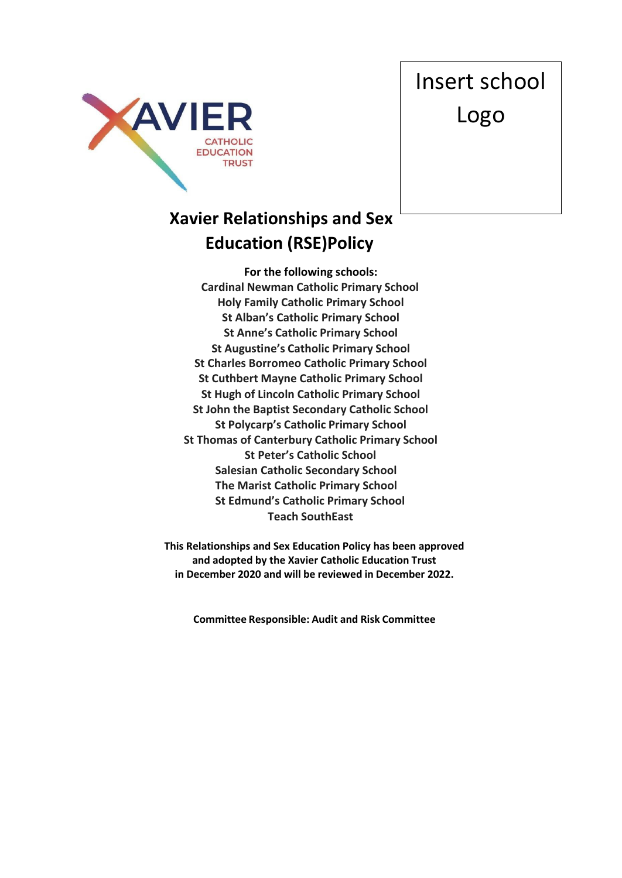Insert school Logo



# **Xavier Relationships and Sex Education (RSE)Policy**

**For the following schools: Cardinal Newman Catholic Primary School Holy Family Catholic Primary School St Alban's Catholic Primary School St Anne's Catholic Primary School St Augustine's Catholic Primary School St Charles Borromeo Catholic Primary School St Cuthbert Mayne Catholic Primary School St Hugh of Lincoln Catholic Primary School St John the Baptist Secondary Catholic School St Polycarp's Catholic Primary School St Thomas of Canterbury Catholic Primary School St Peter's Catholic School Salesian Catholic Secondary School The Marist Catholic Primary School St Edmund's Catholic Primary School Teach SouthEast**

**This Relationships and Sex Education Policy has been approved and adopted by the Xavier Catholic Education Trust in December 2020 and will be reviewed in December 2022.**

**Committee Responsible: Audit and Risk Committee**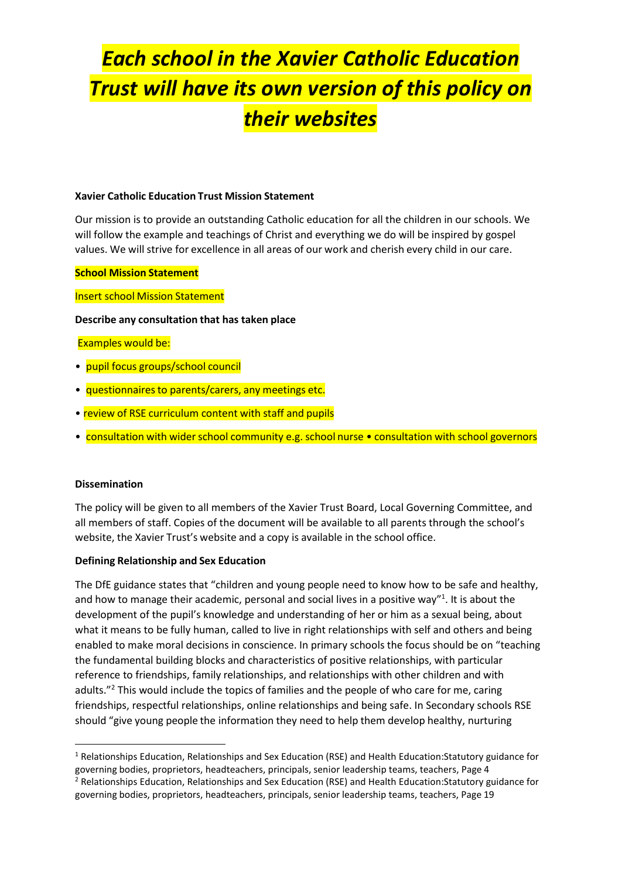# *Each school in the Xavier Catholic Education Trust will have its own version of this policy on their websites*

#### **Xavier Catholic Education Trust Mission Statement**

Our mission is to provide an outstanding Catholic education for all the children in our schools. We will follow the example and teachings of Christ and everything we do will be inspired by gospel values. We will strive for excellence in all areas of our work and cherish every child in our care.

#### **School Mission Statement**

Insert school Mission Statement

#### **Describe any consultation that has taken place**

Examples would be:

- pupil focus groups/school council
- questionnaires to parents/carers, any meetings etc.
- review of RSE curriculum content with staff and pupils
- consultation with wider school community e.g. school nurse consultation with school governors

#### **Dissemination**

The policy will be given to all members of the Xavier Trust Board, Local Governing Committee, and all members of staff. Copies of the document will be available to all parents through the school's website, the Xavier Trust's website and a copy is available in the school office.

#### **Defining Relationship and Sex Education**

The DfE guidance states that "children and young people need to know how to be safe and healthy, and how to manage their academic, personal and social lives in a positive way"<sup>1</sup>. It is about the development of the pupil's knowledge and understanding of her or him as a sexual being, about what it means to be fully human, called to live in right relationships with self and others and being enabled to make moral decisions in conscience. In primary schools the focus should be on "teaching the fundamental building blocks and characteristics of positive relationships, with particular reference to friendships, family relationships, and relationships with other children and with adults."<sup>2</sup> This would include the topics of families and the people of who care for me, caring friendships, respectful relationships, online relationships and being safe. In Secondary schools RSE should "give young people the information they need to help them develop healthy, nurturing

<span id="page-1-1"></span><span id="page-1-0"></span><sup>1</sup> Relationships Education, Relationships and Sex Education (RSE) and Health Education:Statutory guidance for governing bodies, proprietors, headteachers, principals, senior leadership teams, teachers, Page 4 <sup>2</sup> Relationships Education, Relationships and Sex Education (RSE) and Health Education:Statutory guidance for governing bodies, proprietors, headteachers, principals, senior leadership teams, teachers, Page 19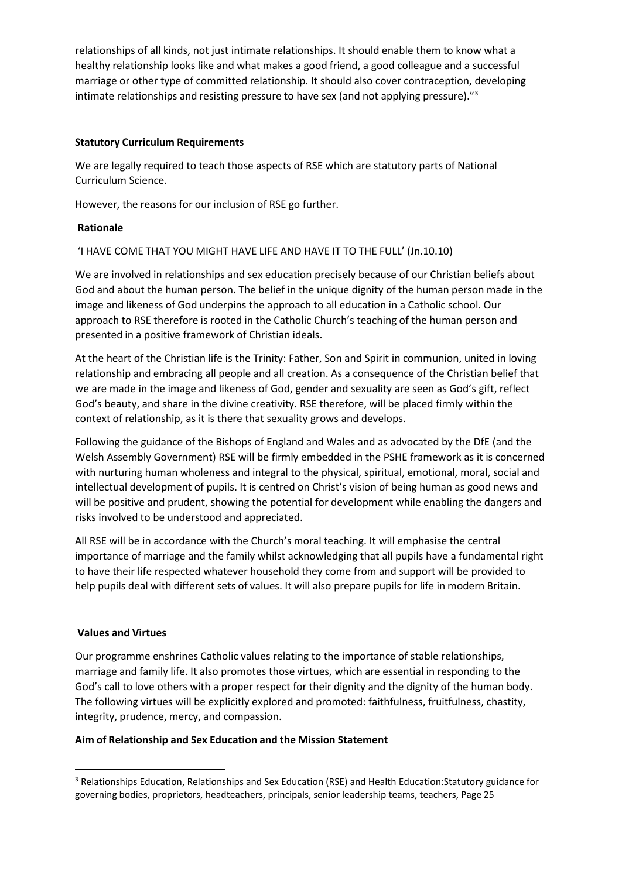relationships of all kinds, not just intimate relationships. It should enable them to know what a healthy relationship looks like and what makes a good friend, a good colleague and a successful marriage or other type of committed relationship. It should also cover contraception, developing intimate relationships and resisting pressure to have sex (and not applying pressure)."<sup>3</sup>

# **Statutory Curriculum Requirements**

We are legally required to teach those aspects of RSE which are statutory parts of National Curriculum Science.

However, the reasons for our inclusion of RSE go further.

# **Rationale**

'I HAVE COME THAT YOU MIGHT HAVE LIFE AND HAVE IT TO THE FULL' (Jn.10.10)

We are involved in relationships and sex education precisely because of our Christian beliefs about God and about the human person. The belief in the unique dignity of the human person made in the image and likeness of God underpins the approach to all education in a Catholic school. Our approach to RSE therefore is rooted in the Catholic Church's teaching of the human person and presented in a positive framework of Christian ideals.

At the heart of the Christian life is the Trinity: Father, Son and Spirit in communion, united in loving relationship and embracing all people and all creation. As a consequence of the Christian belief that we are made in the image and likeness of God, gender and sexuality are seen as God's gift, reflect God's beauty, and share in the divine creativity. RSE therefore, will be placed firmly within the context of relationship, as it is there that sexuality grows and develops.

Following the guidance of the Bishops of England and Wales and as advocated by the DfE (and the Welsh Assembly Government) RSE will be firmly embedded in the PSHE framework as it is concerned with nurturing human wholeness and integral to the physical, spiritual, emotional, moral, social and intellectual development of pupils. It is centred on Christ's vision of being human as good news and will be positive and prudent, showing the potential for development while enabling the dangers and risks involved to be understood and appreciated.

All RSE will be in accordance with the Church's moral teaching. It will emphasise the central importance of marriage and the family whilst acknowledging that all pupils have a fundamental right to have their life respected whatever household they come from and support will be provided to help pupils deal with different sets of values. It will also prepare pupils for life in modern Britain.

#### **Values and Virtues**

Our programme enshrines Catholic values relating to the importance of stable relationships, marriage and family life. It also promotes those virtues, which are essential in responding to the God's call to love others with a proper respect for their dignity and the dignity of the human body. The following virtues will be explicitly explored and promoted: faithfulness, fruitfulness, chastity, integrity, prudence, mercy, and compassion.

#### **Aim of Relationship and Sex Education and the Mission Statement**

<span id="page-2-0"></span><sup>&</sup>lt;sup>3</sup> Relationships Education, Relationships and Sex Education (RSE) and Health Education: Statutory guidance for governing bodies, proprietors, headteachers, principals, senior leadership teams, teachers, Page 25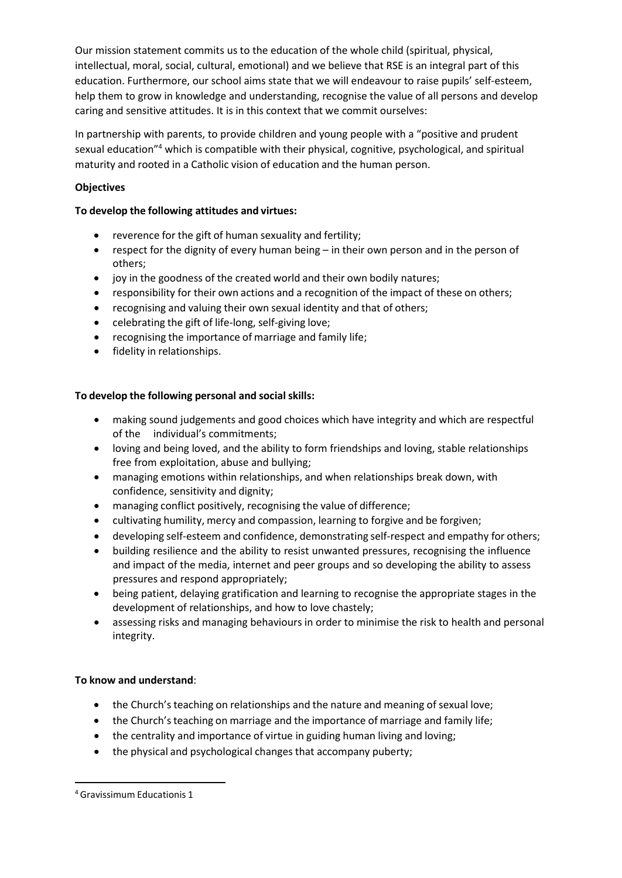Our mission statement commits us to the education of the whole child (spiritual, physical, intellectual, moral, social, cultural, emotional) and we believe that RSE is an integral part of this education. Furthermore, our school aims state that we will endeavour to raise pupils' self-esteem, help them to grow in knowledge and understanding, recognise the value of all persons and develop caring and sensitive attitudes. It is in this context that we commit ourselves:

In partnership with parents, to provide children and young people with a "positive and prudent sexual education<sup>["4](#page-3-0)</sup> which is compatible with their physical, cognitive, psychological, and spiritual maturity and rooted in a Catholic vision of education and the human person.

# **Objectives**

# **To develop the following attitudes and virtues:**

- reverence for the gift of human sexuality and fertility;
- respect for the dignity of every human being in their own person and in the person of others;
- joy in the goodness of the created world and their own bodily natures;
- responsibility for their own actions and a recognition of the impact of these on others;
- recognising and valuing their own sexual identity and that of others;
- celebrating the gift of life-long, self-giving love;
- recognising the importance of marriage and family life;
- fidelity in relationships.

# **To develop the following personal and social skills:**

- making sound judgements and good choices which have integrity and which are respectful of the individual's commitments;
- loving and being loved, and the ability to form friendships and loving, stable relationships free from exploitation, abuse and bullying;
- managing emotions within relationships, and when relationships break down, with confidence, sensitivity and dignity;
- managing conflict positively, recognising the value of difference;
- cultivating humility, mercy and compassion, learning to forgive and be forgiven;
- developing self-esteem and confidence, demonstrating self-respect and empathy for others;
- building resilience and the ability to resist unwanted pressures, recognising the influence and impact of the media, internet and peer groups and so developing the ability to assess pressures and respond appropriately;
- being patient, delaying gratification and learning to recognise the appropriate stages in the development of relationships, and how to love chastely;
- assessing risks and managing behaviours in order to minimise the risk to health and personal integrity.

# **To know and understand**:

- the Church's teaching on relationships and the nature and meaning of sexual love;
- the Church's teaching on marriage and the importance of marriage and family life;
- the centrality and importance of virtue in guiding human living and loving;
- the physical and psychological changes that accompany puberty;

<span id="page-3-0"></span><sup>4</sup> Gravissimum Educationis 1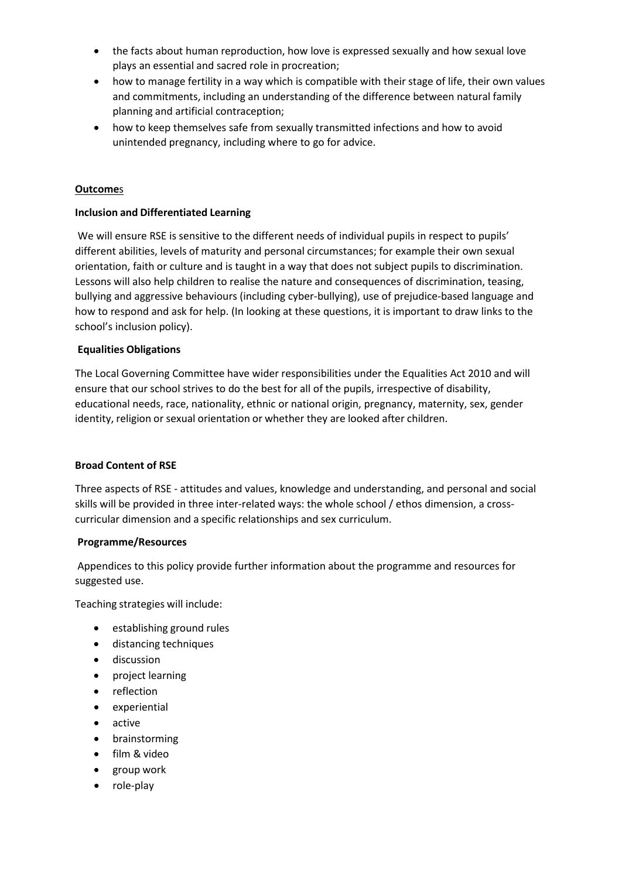- the facts about human reproduction, how love is expressed sexually and how sexual love plays an essential and sacred role in procreation;
- how to manage fertility in a way which is compatible with their stage of life, their own values and commitments, including an understanding of the difference between natural family planning and artificial contraception;
- how to keep themselves safe from sexually transmitted infections and how to avoid unintended pregnancy, including where to go for advice.

# **Outcome**s

#### **Inclusion and Differentiated Learning**

We will ensure RSE is sensitive to the different needs of individual pupils in respect to pupils' different abilities, levels of maturity and personal circumstances; for example their own sexual orientation, faith or culture and is taught in a way that does not subject pupils to discrimination. Lessons will also help children to realise the nature and consequences of discrimination, teasing, bullying and aggressive behaviours (including cyber-bullying), use of prejudice-based language and how to respond and ask for help. (In looking at these questions, it is important to draw links to the school's inclusion policy).

# **Equalities Obligations**

The Local Governing Committee have wider responsibilities under the Equalities Act 2010 and will ensure that our school strives to do the best for all of the pupils, irrespective of disability, educational needs, race, nationality, ethnic or national origin, pregnancy, maternity, sex, gender identity, religion or sexual orientation or whether they are looked after children.

#### **Broad Content of RSE**

Three aspects of RSE - attitudes and values, knowledge and understanding, and personal and social skills will be provided in three inter-related ways: the whole school / ethos dimension, a crosscurricular dimension and a specific relationships and sex curriculum.

#### **Programme/Resources**

Appendices to this policy provide further information about the programme and resources for suggested use.

Teaching strategies will include:

- establishing ground rules
- distancing techniques
- discussion
- project learning
- reflection
- experiential
- active
- brainstorming
- film & video
- group work
- role-play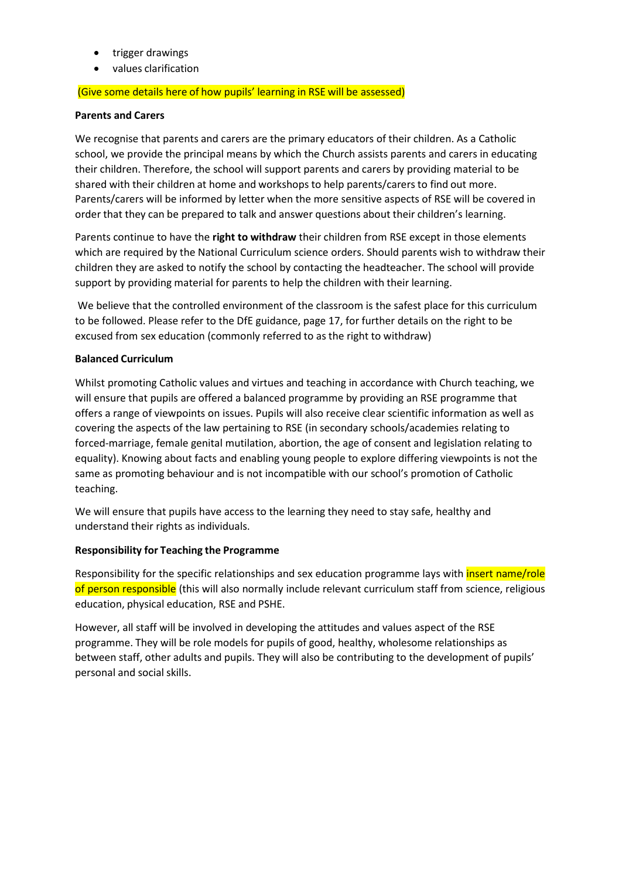- trigger drawings
- values clarification

#### (Give some details here of how pupils' learning in RSE will be assessed)

#### **Parents and Carers**

We recognise that parents and carers are the primary educators of their children. As a Catholic school, we provide the principal means by which the Church assists parents and carers in educating their children. Therefore, the school will support parents and carers by providing material to be shared with their children at home and workshops to help parents/carers to find out more. Parents/carers will be informed by letter when the more sensitive aspects of RSE will be covered in order that they can be prepared to talk and answer questions about their children's learning.

Parents continue to have the **right to withdraw** their children from RSE except in those elements which are required by the National Curriculum science orders. Should parents wish to withdraw their children they are asked to notify the school by contacting the headteacher. The school will provide support by providing material for parents to help the children with their learning.

We believe that the controlled environment of the classroom is the safest place for this curriculum to be followed. Please refer to the DfE guidance, page 17, for further details on the right to be excused from sex education (commonly referred to as the right to withdraw)

# **Balanced Curriculum**

Whilst promoting Catholic values and virtues and teaching in accordance with Church teaching, we will ensure that pupils are offered a balanced programme by providing an RSE programme that offers a range of viewpoints on issues. Pupils will also receive clear scientific information as well as covering the aspects of the law pertaining to RSE (in secondary schools/academies relating to forced-marriage, female genital mutilation, abortion, the age of consent and legislation relating to equality). Knowing about facts and enabling young people to explore differing viewpoints is not the same as promoting behaviour and is not incompatible with our school's promotion of Catholic teaching.

We will ensure that pupils have access to the learning they need to stay safe, healthy and understand their rights as individuals.

#### **Responsibility for Teaching the Programme**

Responsibility for the specific relationships and sex education programme lays with *insert name/role* of person responsible (this will also normally include relevant curriculum staff from science, religious education, physical education, RSE and PSHE.

However, all staff will be involved in developing the attitudes and values aspect of the RSE programme. They will be role models for pupils of good, healthy, wholesome relationships as between staff, other adults and pupils. They will also be contributing to the development of pupils' personal and social skills.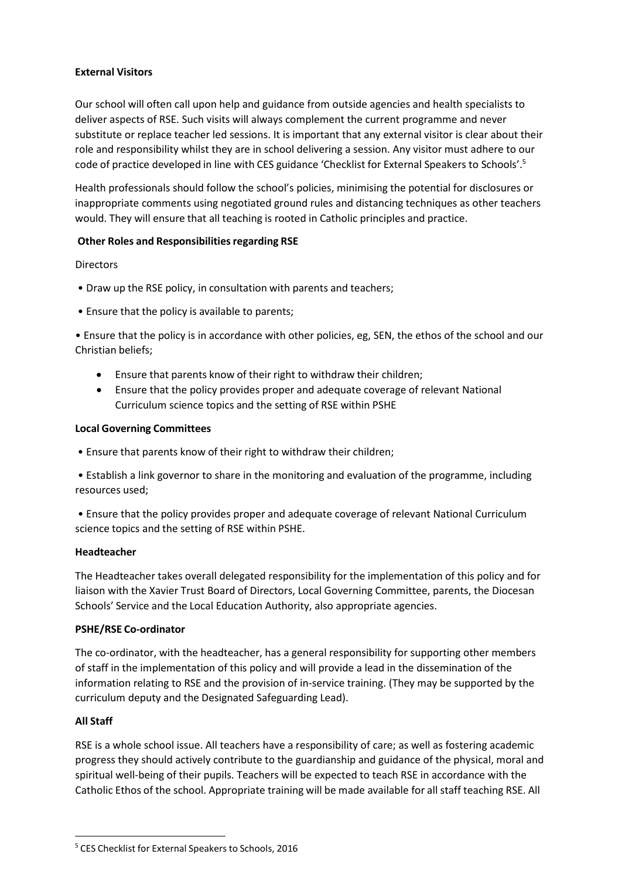# **External Visitors**

Our school will often call upon help and guidance from outside agencies and health specialists to deliver aspects of RSE. Such visits will always complement the current programme and never substitute or replace teacher led sessions. It is important that any external visitor is clear about their role and responsibility whilst they are in school delivering a session. Any visitor must adhere to our code of practice developed in line with CES guidance 'Checklist for External Speakers to Schools'[.5](#page-6-0)

Health professionals should follow the school's policies, minimising the potential for disclosures or inappropriate comments using negotiated ground rules and distancing techniques as other teachers would. They will ensure that all teaching is rooted in Catholic principles and practice.

# **Other Roles and Responsibilitiesregarding RSE**

#### **Directors**

- Draw up the RSE policy, in consultation with parents and teachers;
- Ensure that the policy is available to parents;

• Ensure that the policy is in accordance with other policies, eg, SEN, the ethos of the school and our Christian beliefs;

- Ensure that parents know of their right to withdraw their children;
- Ensure that the policy provides proper and adequate coverage of relevant National Curriculum science topics and the setting of RSE within PSHE

#### **Local Governing Committees**

• Ensure that parents know of their right to withdraw their children;

• Establish a link governor to share in the monitoring and evaluation of the programme, including resources used;

• Ensure that the policy provides proper and adequate coverage of relevant National Curriculum science topics and the setting of RSE within PSHE.

#### **Headteacher**

The Headteacher takes overall delegated responsibility for the implementation of this policy and for liaison with the Xavier Trust Board of Directors, Local Governing Committee, parents, the Diocesan Schools' Service and the Local Education Authority, also appropriate agencies.

#### **PSHE/RSE Co-ordinator**

The co-ordinator, with the headteacher, has a general responsibility for supporting other members of staff in the implementation of this policy and will provide a lead in the dissemination of the information relating to RSE and the provision of in-service training. (They may be supported by the curriculum deputy and the Designated Safeguarding Lead).

# **All Staff**

RSE is a whole school issue. All teachers have a responsibility of care; as well as fostering academic progress they should actively contribute to the guardianship and guidance of the physical, moral and spiritual well-being of their pupils. Teachers will be expected to teach RSE in accordance with the Catholic Ethos of the school. Appropriate training will be made available for all staff teaching RSE. All

<span id="page-6-0"></span><sup>5</sup> CES Checklist for External Speakers to Schools, 2016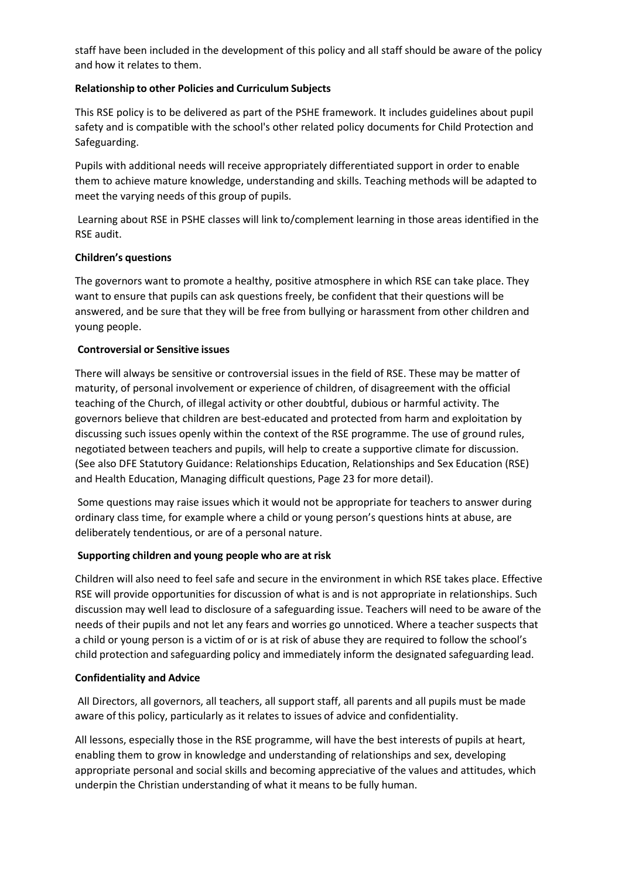staff have been included in the development of this policy and all staff should be aware of the policy and how it relates to them.

# **Relationship to other Policies and Curriculum Subjects**

This RSE policy is to be delivered as part of the PSHE framework. It includes guidelines about pupil safety and is compatible with the school's other related policy documents for Child Protection and Safeguarding.

Pupils with additional needs will receive appropriately differentiated support in order to enable them to achieve mature knowledge, understanding and skills. Teaching methods will be adapted to meet the varying needs of this group of pupils.

Learning about RSE in PSHE classes will link to/complement learning in those areas identified in the RSE audit.

#### **Children's questions**

The governors want to promote a healthy, positive atmosphere in which RSE can take place. They want to ensure that pupils can ask questions freely, be confident that their questions will be answered, and be sure that they will be free from bullying or harassment from other children and young people.

# **Controversial or Sensitive issues**

There will always be sensitive or controversial issues in the field of RSE. These may be matter of maturity, of personal involvement or experience of children, of disagreement with the official teaching of the Church, of illegal activity or other doubtful, dubious or harmful activity. The governors believe that children are best-educated and protected from harm and exploitation by discussing such issues openly within the context of the RSE programme. The use of ground rules, negotiated between teachers and pupils, will help to create a supportive climate for discussion. (See also DFE Statutory Guidance: Relationships Education, Relationships and Sex Education (RSE) and Health Education, Managing difficult questions, Page 23 for more detail).

Some questions may raise issues which it would not be appropriate for teachers to answer during ordinary class time, for example where a child or young person's questions hints at abuse, are deliberately tendentious, or are of a personal nature.

#### **Supporting children and young people who are at risk**

Children will also need to feel safe and secure in the environment in which RSE takes place. Effective RSE will provide opportunities for discussion of what is and is not appropriate in relationships. Such discussion may well lead to disclosure of a safeguarding issue. Teachers will need to be aware of the needs of their pupils and not let any fears and worries go unnoticed. Where a teacher suspects that a child or young person is a victim of or is at risk of abuse they are required to follow the school's child protection and safeguarding policy and immediately inform the designated safeguarding lead.

#### **Confidentiality and Advice**

All Directors, all governors, all teachers, all support staff, all parents and all pupils must be made aware of this policy, particularly as it relates to issues of advice and confidentiality.

All lessons, especially those in the RSE programme, will have the best interests of pupils at heart, enabling them to grow in knowledge and understanding of relationships and sex, developing appropriate personal and social skills and becoming appreciative of the values and attitudes, which underpin the Christian understanding of what it means to be fully human.